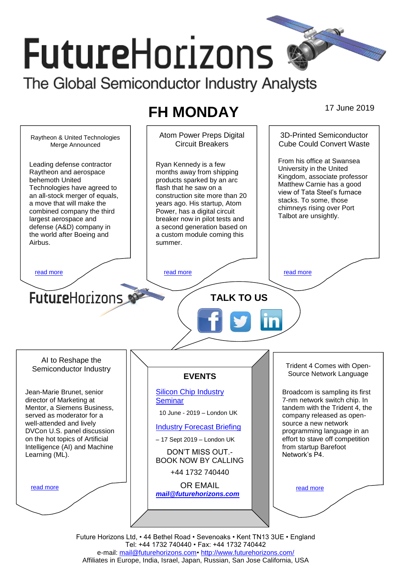# **FutureHorizons** The Global Semiconductor Industry Analysts

# **FH MONDAY** 17 June 2019

Atom Power Preps Digital 3D-Printed Semiconductor Raytheon & United Technologies Circuit Breakers Cube Could Convert Waste Merge Announced From his office at Swansea Leading defense contractor Ryan Kennedy is a few University in the United Raytheon and aerospace months away from shipping Kingdom, associate professor behemoth United products sparked by an arc Matthew Carnie has a good Technologies have agreed to flash that he saw on a view of Tata Steel's furnace an all-stock merger of equals, construction site more than 20 stacks. To some, those a move that will make the years ago. His startup, Atom chimneys rising over Port combined company the third Power, has a digital circuit Talbot are unsightly. largest aerospace and breaker now in pilot tests and defense (A&D) company in a second generation based on the world after Boeing and a custom module coming this Airbus. summer. [read more](#page-1-1) that the second contract the second contract of the read more that the read more that the read more **Future**Horizons **TALK TO US** AI to Reshape the Trident 4 Comes with Open-Semiconductor Industry Source Network Language **EVENTS** [Silicon Chip Industry](http://www.futurehorizons.com/page/12/silicon-chip-training)  Jean-Marie Brunet, senior Broadcom is sampling its first director of Marketing at 7-nm network switch chip. In **[Seminar](http://www.futurehorizons.com/page/12/silicon-chip-training)** Mentor, a Siemens Business, tandem with the Trident 4, the 10 June - 2019 – London UK served as moderator for a company released as openwell-attended and lively source a new network [Industry Forecast Briefing](http://www.futurehorizons.com/page/13/Semiconductor-Market-Forecast-Seminar) DVCon U.S. panel discussion programming language in an on the hot topics of Artificial effort to stave off competition – 17 Sept 2019 – London UK Intelligence (AI) and Machine from startup Barefoot DON'T MISS OUT.- Network's P4. Learning (ML).BOOK NOW BY CALLING +44 1732 740440 OR EMAIL [read more](#page-1-3) [read more](#page-1-4) *[mail@futurehorizons.com](mailto:mail@futurehorizons.com)*

> Future Horizons Ltd, • 44 Bethel Road • Sevenoaks • Kent TN13 3UE • England Tel: +44 1732 740440 • Fax: +44 1732 740442 e-mail: [mail@futurehorizons.com•](../FH%20Monday%20-%202017/mail@futurehorizons.com)<http://www.futurehorizons.com/> Affiliates in Europe, India, Israel, Japan, Russian, San Jose California, USA